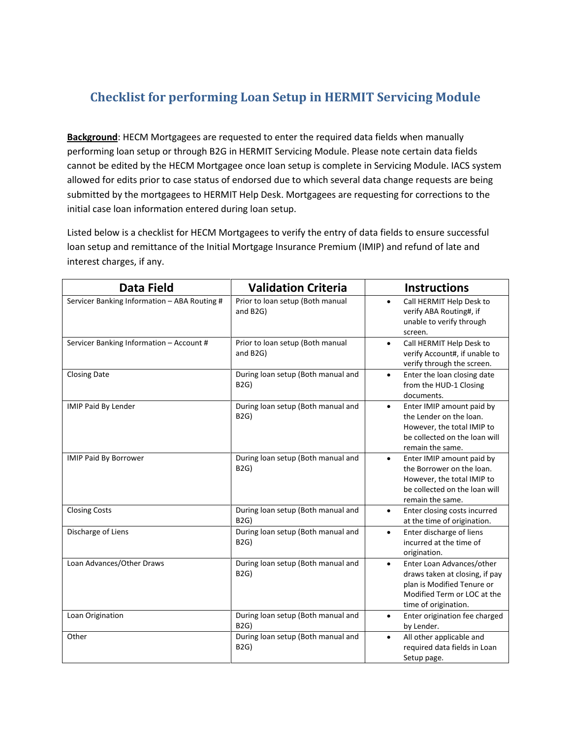## **Checklist for performing Loan Setup in HERMIT Servicing Module**

**Background**: HECM Mortgagees are requested to enter the required data fields when manually performing loan setup or through B2G in HERMIT Servicing Module. Please note certain data fields cannot be edited by the HECM Mortgagee once loan setup is complete in Servicing Module. IACS system allowed for edits prior to case status of endorsed due to which several data change requests are being submitted by the mortgagees to HERMIT Help Desk. Mortgagees are requesting for corrections to the initial case loan information entered during loan setup.

Listed below is a checklist for HECM Mortgagees to verify the entry of data fields to ensure successful loan setup and remittance of the Initial Mortgage Insurance Premium (IMIP) and refund of late and interest charges, if any.

| <b>Data Field</b>                            | <b>Validation Criteria</b>                        | <b>Instructions</b>                                                                                                                                           |
|----------------------------------------------|---------------------------------------------------|---------------------------------------------------------------------------------------------------------------------------------------------------------------|
| Servicer Banking Information - ABA Routing # | Prior to loan setup (Both manual<br>and B2G)      | Call HERMIT Help Desk to<br>$\bullet$<br>verify ABA Routing#, if<br>unable to verify through<br>screen.                                                       |
| Servicer Banking Information - Account #     | Prior to loan setup (Both manual<br>and B2G)      | Call HERMIT Help Desk to<br>$\bullet$<br>verify Account#, if unable to<br>verify through the screen.                                                          |
| <b>Closing Date</b>                          | During loan setup (Both manual and<br><b>B2G)</b> | Enter the loan closing date<br>$\bullet$<br>from the HUD-1 Closing<br>documents.                                                                              |
| IMIP Paid By Lender                          | During loan setup (Both manual and<br><b>B2G)</b> | Enter IMIP amount paid by<br>$\bullet$<br>the Lender on the loan.<br>However, the total IMIP to<br>be collected on the loan will<br>remain the same.          |
| <b>IMIP Paid By Borrower</b>                 | During loan setup (Both manual and<br><b>B2G)</b> | Enter IMIP amount paid by<br>$\bullet$<br>the Borrower on the loan.<br>However, the total IMIP to<br>be collected on the loan will<br>remain the same.        |
| <b>Closing Costs</b>                         | During loan setup (Both manual and<br><b>B2G)</b> | Enter closing costs incurred<br>$\bullet$<br>at the time of origination.                                                                                      |
| Discharge of Liens                           | During loan setup (Both manual and<br><b>B2G)</b> | Enter discharge of liens<br>$\bullet$<br>incurred at the time of<br>origination.                                                                              |
| Loan Advances/Other Draws                    | During loan setup (Both manual and<br><b>B2G)</b> | Enter Loan Advances/other<br>$\bullet$<br>draws taken at closing, if pay<br>plan is Modified Tenure or<br>Modified Term or LOC at the<br>time of origination. |
| Loan Origination                             | During loan setup (Both manual and<br><b>B2G)</b> | Enter origination fee charged<br>$\bullet$<br>by Lender.                                                                                                      |
| Other                                        | During loan setup (Both manual and<br><b>B2G)</b> | All other applicable and<br>$\bullet$<br>required data fields in Loan<br>Setup page.                                                                          |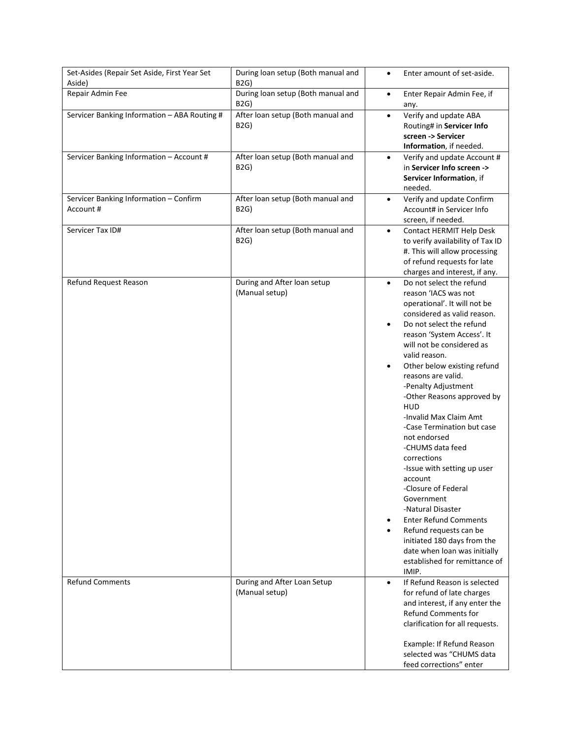| Set-Asides (Repair Set Aside, First Year Set<br>Aside) | During loan setup (Both manual and<br><b>B2G)</b> | Enter amount of set-aside.<br>$\bullet$                                                                                                                                                                                                                                                                                                                                                                                                                                                                                                                                                                                                                                                                                                                                               |
|--------------------------------------------------------|---------------------------------------------------|---------------------------------------------------------------------------------------------------------------------------------------------------------------------------------------------------------------------------------------------------------------------------------------------------------------------------------------------------------------------------------------------------------------------------------------------------------------------------------------------------------------------------------------------------------------------------------------------------------------------------------------------------------------------------------------------------------------------------------------------------------------------------------------|
| Repair Admin Fee                                       | During loan setup (Both manual and<br><b>B2G)</b> | Enter Repair Admin Fee, if<br>$\bullet$<br>any.                                                                                                                                                                                                                                                                                                                                                                                                                                                                                                                                                                                                                                                                                                                                       |
| Servicer Banking Information - ABA Routing #           | After loan setup (Both manual and<br><b>B2G)</b>  | Verify and update ABA<br>$\bullet$<br>Routing# in Servicer Info<br>screen -> Servicer<br>Information, if needed.                                                                                                                                                                                                                                                                                                                                                                                                                                                                                                                                                                                                                                                                      |
| Servicer Banking Information - Account #               | After loan setup (Both manual and<br><b>B2G)</b>  | Verify and update Account #<br>$\bullet$<br>in Servicer Info screen -><br>Servicer Information, if<br>needed.                                                                                                                                                                                                                                                                                                                                                                                                                                                                                                                                                                                                                                                                         |
| Servicer Banking Information - Confirm<br>Account #    | After loan setup (Both manual and<br>B2G)         | Verify and update Confirm<br>$\bullet$<br>Account# in Servicer Info<br>screen, if needed.                                                                                                                                                                                                                                                                                                                                                                                                                                                                                                                                                                                                                                                                                             |
| Servicer Tax ID#                                       | After loan setup (Both manual and<br>B2G)         | Contact HERMIT Help Desk<br>$\bullet$<br>to verify availability of Tax ID<br>#. This will allow processing<br>of refund requests for late<br>charges and interest, if any.                                                                                                                                                                                                                                                                                                                                                                                                                                                                                                                                                                                                            |
| Refund Request Reason                                  | During and After loan setup<br>(Manual setup)     | Do not select the refund<br>$\bullet$<br>reason 'IACS was not<br>operational'. It will not be<br>considered as valid reason.<br>Do not select the refund<br>$\bullet$<br>reason 'System Access'. It<br>will not be considered as<br>valid reason.<br>Other below existing refund<br>$\bullet$<br>reasons are valid.<br>-Penalty Adjustment<br>-Other Reasons approved by<br><b>HUD</b><br>-Invalid Max Claim Amt<br>-Case Termination but case<br>not endorsed<br>-CHUMS data feed<br>corrections<br>-Issue with setting up user<br>account<br>-Closure of Federal<br>Government<br>-Natural Disaster<br><b>Enter Refund Comments</b><br>Refund requests can be<br>$\bullet$<br>initiated 180 days from the<br>date when loan was initially<br>established for remittance of<br>IMIP. |
| <b>Refund Comments</b>                                 | During and After Loan Setup<br>(Manual setup)     | If Refund Reason is selected<br>$\bullet$<br>for refund of late charges<br>and interest, if any enter the<br><b>Refund Comments for</b><br>clarification for all requests.<br>Example: If Refund Reason<br>selected was "CHUMS data<br>feed corrections" enter                                                                                                                                                                                                                                                                                                                                                                                                                                                                                                                        |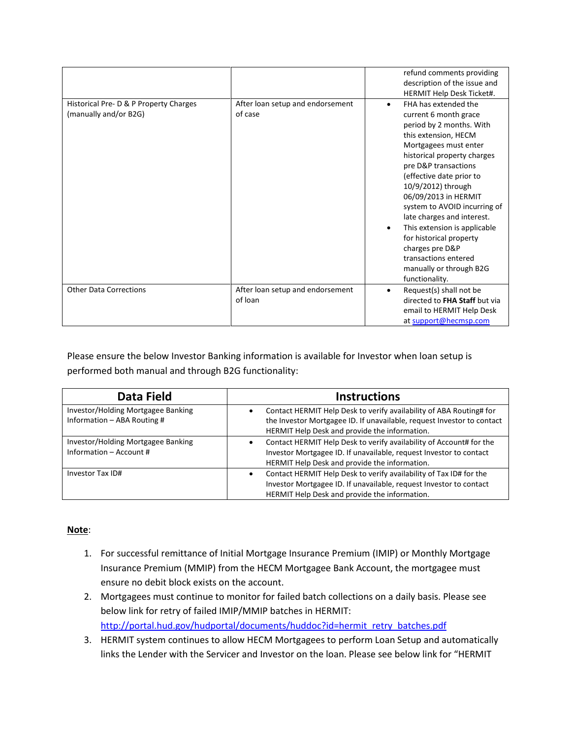|                                                                 |                                             | refund comments providing<br>description of the issue and<br>HERMIT Help Desk Ticket#.                                                                                                                                                                                                                                                                                                                                                                                                                 |
|-----------------------------------------------------------------|---------------------------------------------|--------------------------------------------------------------------------------------------------------------------------------------------------------------------------------------------------------------------------------------------------------------------------------------------------------------------------------------------------------------------------------------------------------------------------------------------------------------------------------------------------------|
| Historical Pre- D & P Property Charges<br>(manually and/or B2G) | After loan setup and endorsement<br>of case | FHA has extended the<br>$\bullet$<br>current 6 month grace<br>period by 2 months. With<br>this extension, HECM<br>Mortgagees must enter<br>historical property charges<br>pre D&P transactions<br>(effective date prior to<br>10/9/2012) through<br>06/09/2013 in HERMIT<br>system to AVOID incurring of<br>late charges and interest.<br>This extension is applicable<br>$\bullet$<br>for historical property<br>charges pre D&P<br>transactions entered<br>manually or through B2G<br>functionality. |
| <b>Other Data Corrections</b>                                   | After loan setup and endorsement<br>of loan | Request(s) shall not be<br>$\bullet$<br>directed to FHA Staff but via<br>email to HERMIT Help Desk<br>at support@hecmsp.com                                                                                                                                                                                                                                                                                                                                                                            |

Please ensure the below Investor Banking information is available for Investor when loan setup is performed both manual and through B2G functionality:

| Data Field                                                        | <b>Instructions</b>                                                                                                                                                                                    |
|-------------------------------------------------------------------|--------------------------------------------------------------------------------------------------------------------------------------------------------------------------------------------------------|
| Investor/Holding Mortgagee Banking<br>Information - ABA Routing # | Contact HERMIT Help Desk to verify availability of ABA Routing# for<br>٠<br>the Investor Mortgagee ID. If unavailable, request Investor to contact<br>HERMIT Help Desk and provide the information.    |
| Investor/Holding Mortgagee Banking<br>Information - Account #     | Contact HERMIT Help Desk to verify availability of Account# for the<br>Investor Mortgagee ID. If unavailable, request Investor to contact<br>HERMIT Help Desk and provide the information.             |
| Investor Tax ID#                                                  | Contact HERMIT Help Desk to verify availability of Tax ID# for the<br>$\bullet$<br>Investor Mortgagee ID. If unavailable, request Investor to contact<br>HERMIT Help Desk and provide the information. |

## **Note**:

- 1. For successful remittance of Initial Mortgage Insurance Premium (IMIP) or Monthly Mortgage Insurance Premium (MMIP) from the HECM Mortgagee Bank Account, the mortgagee must ensure no debit block exists on the account.
- 2. Mortgagees must continue to monitor for failed batch collections on a daily basis. Please see below link for retry of failed IMIP/MMIP batches in HERMIT: [http://portal.hud.gov/hudportal/documents/huddoc?id=hermit\\_retry\\_batches.pdf](http://portal.hud.gov/hudportal/documents/huddoc?id=hermit_retry_batches.pdf)
- 3. HERMIT system continues to allow HECM Mortgagees to perform Loan Setup and automatically links the Lender with the Servicer and Investor on the loan. Please see below link for "HERMIT